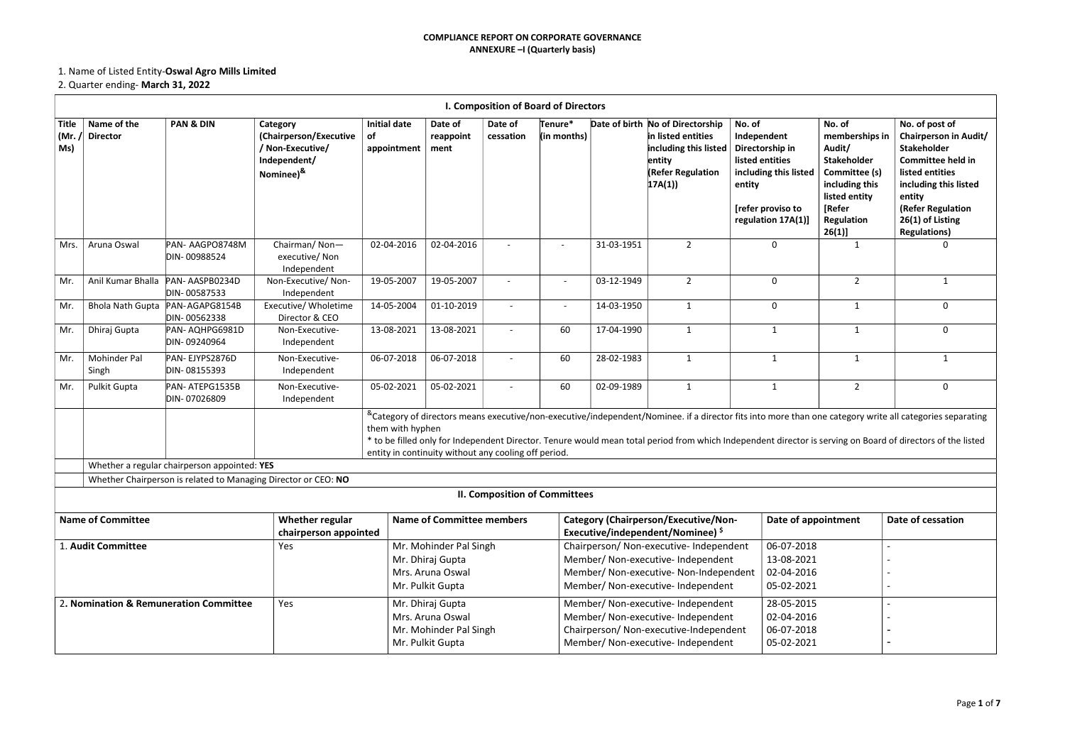# 1. Name of Listed Entity-Oswal Agro Mills Limited

# 2. Quarter ending- March 31, 2022

|                             |                                |                                                   |                                                                                                     |                                          |                                                                                    |                          | I. Composition of Board of Directors |            |                                                                                                                                                               |                                                                                                                                           |                                                                                                                                                 |                                                                                                                                                                                                                                                                                                                                         |
|-----------------------------|--------------------------------|---------------------------------------------------|-----------------------------------------------------------------------------------------------------|------------------------------------------|------------------------------------------------------------------------------------|--------------------------|--------------------------------------|------------|---------------------------------------------------------------------------------------------------------------------------------------------------------------|-------------------------------------------------------------------------------------------------------------------------------------------|-------------------------------------------------------------------------------------------------------------------------------------------------|-----------------------------------------------------------------------------------------------------------------------------------------------------------------------------------------------------------------------------------------------------------------------------------------------------------------------------------------|
| <b>Title</b><br>(Mr.<br>Ms) | Name of the<br><b>Director</b> | <b>PAN &amp; DIN</b>                              | Category<br>(Chairperson/Executive<br>/ Non-Executive/<br>Independent/<br>Nominee) <sup>&amp;</sup> | <b>Initial date</b><br>of<br>appointment | Date of<br>reappoint<br>ment                                                       | Date of<br>cessation     | Tenure*<br>(in months)               |            | Date of birth No of Directorship<br>in listed entities<br>including this listed<br>entity<br><b>(Refer Regulation</b><br>17A(1)                               | No. of<br>Independent<br>Directorship in<br>listed entities<br>including this listed<br>entity<br>[refer proviso to<br>regulation 17A(1)] | No. of<br>memberships in<br>Audit/<br><b>Stakeholder</b><br>  Committee (s)<br>including this<br>listed entity<br>[Refer<br>Regulation<br>26(1) | No. of post of<br>Chairperson in Audit/<br><b>Stakeholder</b><br><b>Committee held in</b><br>listed entities<br>including this listed<br>entity<br>(Refer Regulation<br>26(1) of Listing<br><b>Regulations)</b>                                                                                                                         |
| Mrs.                        | Aruna Oswal                    | PAN- AAGPO8748M<br>DIN-00988524                   | Chairman/Non-<br>executive/Non<br>Independent                                                       | 02-04-2016                               | 02-04-2016                                                                         |                          |                                      | 31-03-1951 | $\overline{2}$                                                                                                                                                | 0                                                                                                                                         | -1                                                                                                                                              | 0                                                                                                                                                                                                                                                                                                                                       |
| Mr.                         | Anil Kumar Bhalla              | PAN-AASPB0234D<br>DIN-00587533                    | Non-Executive/Non-<br>Independent                                                                   | 19-05-2007                               | 19-05-2007                                                                         |                          |                                      | 03-12-1949 | $\overline{2}$                                                                                                                                                | $\mathbf 0$                                                                                                                               | $\overline{2}$                                                                                                                                  | $\mathbf{1}$                                                                                                                                                                                                                                                                                                                            |
| Mr.                         |                                | Bhola Nath Gupta   PAN-AGAPG8154B<br>DIN-00562338 | Executive/ Wholetime<br>Director & CEO                                                              | 14-05-2004                               | 01-10-2019                                                                         | $\overline{\phantom{a}}$ | $\overline{\phantom{a}}$             | 14-03-1950 | $\mathbf{1}$                                                                                                                                                  | $\mathbf 0$                                                                                                                               | $\mathbf{1}$                                                                                                                                    | 0                                                                                                                                                                                                                                                                                                                                       |
| Mr.                         | Dhiraj Gupta                   | PAN-AQHPG6981D<br>DIN-09240964                    | Non-Executive-<br>Independent                                                                       | 13-08-2021                               | 13-08-2021                                                                         | $\overline{\phantom{a}}$ | 60                                   | 17-04-1990 | $\mathbf{1}$                                                                                                                                                  | $\mathbf{1}$                                                                                                                              | $\mathbf{1}$                                                                                                                                    | $\mathbf{0}$                                                                                                                                                                                                                                                                                                                            |
| Mr.                         | <b>Mohinder Pal</b><br>Singh   | PAN-EJYPS2876D<br>DIN-08155393                    | Non-Executive-<br>Independent                                                                       | 06-07-2018                               | 06-07-2018                                                                         | $\overline{\phantom{a}}$ | 60                                   | 28-02-1983 | $\mathbf{1}$                                                                                                                                                  | 1                                                                                                                                         | -1                                                                                                                                              | -1                                                                                                                                                                                                                                                                                                                                      |
| Mr.                         | Pulkit Gupta                   | PAN-ATEPG1535B<br>DIN-07026809                    | Non-Executive-<br>Independent                                                                       | 05-02-2021                               | 05-02-2021                                                                         | $\overline{\phantom{a}}$ | 60                                   | 02-09-1989 | $\mathbf{1}$                                                                                                                                                  | $\mathbf{1}$                                                                                                                              | $\overline{2}$                                                                                                                                  | 0                                                                                                                                                                                                                                                                                                                                       |
|                             |                                |                                                   |                                                                                                     | them with hyphen                         | entity in continuity without any cooling off period.                               |                          |                                      |            |                                                                                                                                                               |                                                                                                                                           |                                                                                                                                                 | <sup>&amp;</sup> Category of directors means executive/non-executive/independent/Nominee. if a director fits into more than one category write all categories separating<br>* to be filled only for Independent Director. Tenure would mean total period from which Independent director is serving on Board of directors of the listed |
|                             |                                | Whether a regular chairperson appointed: YES      |                                                                                                     |                                          |                                                                                    |                          |                                      |            |                                                                                                                                                               |                                                                                                                                           |                                                                                                                                                 |                                                                                                                                                                                                                                                                                                                                         |
|                             |                                |                                                   | Whether Chairperson is related to Managing Director or CEO: NO                                      |                                          |                                                                                    |                          | <b>II. Composition of Committees</b> |            |                                                                                                                                                               |                                                                                                                                           |                                                                                                                                                 |                                                                                                                                                                                                                                                                                                                                         |
|                             | <b>Name of Committee</b>       |                                                   | Whether regular<br>chairperson appointed                                                            |                                          | <b>Name of Committee members</b>                                                   |                          |                                      |            | <b>Category (Chairperson/Executive/Non-</b><br>Executive/independent/Nominee) \$                                                                              | Date of appointment                                                                                                                       |                                                                                                                                                 | Date of cessation                                                                                                                                                                                                                                                                                                                       |
|                             | 1. Audit Committee             |                                                   | Yes                                                                                                 |                                          | Mr. Mohinder Pal Singh<br>Mr. Dhiraj Gupta<br>Mrs. Aruna Oswal<br>Mr. Pulkit Gupta |                          |                                      |            | Chairperson/ Non-executive- Independent<br>Member/ Non-executive- Independent<br>Member/ Non-executive- Non-Independent<br>Member/ Non-executive- Independent | 06-07-2018<br>13-08-2021<br>02-04-2016<br>05-02-2021                                                                                      |                                                                                                                                                 |                                                                                                                                                                                                                                                                                                                                         |
|                             |                                | 2. Nomination & Remuneration Committee            | Yes                                                                                                 |                                          | Mr. Dhiraj Gupta<br>Mrs. Aruna Oswal<br>Mr. Mohinder Pal Singh<br>Mr. Pulkit Gupta |                          |                                      |            | Member/ Non-executive- Independent<br>Member/ Non-executive- Independent<br>Chairperson/ Non-executive-Independent<br>Member/ Non-executive- Independent      | 28-05-2015<br>02-04-2016<br>06-07-2018<br>05-02-2021                                                                                      |                                                                                                                                                 |                                                                                                                                                                                                                                                                                                                                         |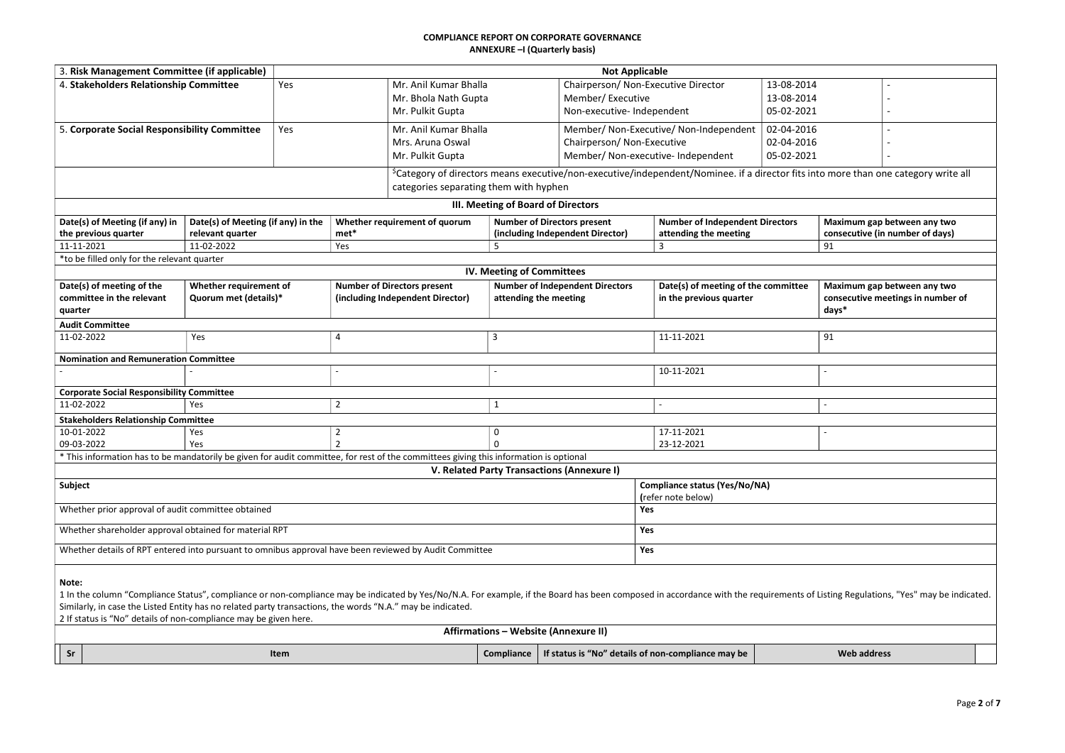| 3. Risk Management Committee (if applicable)                                                           |                                                                                                            |                                                                                                                                       |                                             | <b>Not Applicable</b>                             |                                                                                                                                                                                                                                |       |                                   |
|--------------------------------------------------------------------------------------------------------|------------------------------------------------------------------------------------------------------------|---------------------------------------------------------------------------------------------------------------------------------------|---------------------------------------------|---------------------------------------------------|--------------------------------------------------------------------------------------------------------------------------------------------------------------------------------------------------------------------------------|-------|-----------------------------------|
| 4. Stakeholders Relationship Committee                                                                 | Yes                                                                                                        | Mr. Anil Kumar Bhalla                                                                                                                 |                                             | 13-08-2014<br>Chairperson/ Non-Executive Director |                                                                                                                                                                                                                                |       |                                   |
|                                                                                                        |                                                                                                            | Mr. Bhola Nath Gupta                                                                                                                  |                                             | Member/Executive<br>13-08-2014                    |                                                                                                                                                                                                                                |       |                                   |
|                                                                                                        |                                                                                                            | Mr. Pulkit Gupta                                                                                                                      |                                             | Non-executive- Independent                        | 05-02-2021                                                                                                                                                                                                                     |       |                                   |
| 5. Corporate Social Responsibility Committee                                                           | Yes                                                                                                        | Mr. Anil Kumar Bhalla                                                                                                                 |                                             |                                                   | 02-04-2016<br>Member/ Non-Executive/ Non-Independent                                                                                                                                                                           |       |                                   |
|                                                                                                        |                                                                                                            | Mrs. Aruna Oswal                                                                                                                      |                                             | Chairperson/Non-Executive                         | 02-04-2016                                                                                                                                                                                                                     |       |                                   |
|                                                                                                        |                                                                                                            | Mr. Pulkit Gupta                                                                                                                      |                                             | Member/ Non-executive- Independent                | 05-02-2021                                                                                                                                                                                                                     |       |                                   |
|                                                                                                        |                                                                                                            |                                                                                                                                       |                                             |                                                   | <sup>\$</sup> Category of directors means executive/non-executive/independent/Nominee. if a director fits into more than one category write all                                                                                |       |                                   |
|                                                                                                        |                                                                                                            | categories separating them with hyphen                                                                                                |                                             |                                                   |                                                                                                                                                                                                                                |       |                                   |
|                                                                                                        |                                                                                                            |                                                                                                                                       | III. Meeting of Board of Directors          |                                                   |                                                                                                                                                                                                                                |       |                                   |
| Date(s) of Meeting (if any) in                                                                         | Date(s) of Meeting (if any) in the                                                                         | Whether requirement of quorum                                                                                                         | <b>Number of Directors present</b>          |                                                   | <b>Number of Independent Directors</b>                                                                                                                                                                                         |       | Maximum gap between any two       |
| the previous quarter                                                                                   | relevant quarter                                                                                           | met*                                                                                                                                  | (including Independent Director)            |                                                   | attending the meeting                                                                                                                                                                                                          |       | consecutive (in number of days)   |
| 11-11-2021                                                                                             | 11-02-2022                                                                                                 | Yes                                                                                                                                   | 5                                           |                                                   | $\overline{\mathbf{3}}$                                                                                                                                                                                                        | 91    |                                   |
| *to be filled only for the relevant quarter                                                            |                                                                                                            |                                                                                                                                       |                                             |                                                   |                                                                                                                                                                                                                                |       |                                   |
|                                                                                                        |                                                                                                            |                                                                                                                                       | <b>IV. Meeting of Committees</b>            |                                                   |                                                                                                                                                                                                                                |       |                                   |
| Date(s) of meeting of the                                                                              | Whether requirement of                                                                                     | <b>Number of Directors present</b>                                                                                                    | <b>Number of Independent Directors</b>      |                                                   | Date(s) of meeting of the committee                                                                                                                                                                                            |       | Maximum gap between any two       |
| committee in the relevant                                                                              | Quorum met (details)*                                                                                      | (including Independent Director)                                                                                                      | attending the meeting                       |                                                   | in the previous quarter                                                                                                                                                                                                        |       | consecutive meetings in number of |
| quarter                                                                                                |                                                                                                            |                                                                                                                                       |                                             |                                                   |                                                                                                                                                                                                                                | days* |                                   |
| <b>Audit Committee</b>                                                                                 |                                                                                                            |                                                                                                                                       |                                             |                                                   |                                                                                                                                                                                                                                |       |                                   |
| 11-02-2022                                                                                             | Yes                                                                                                        | $\overline{4}$                                                                                                                        | 3                                           |                                                   | 11-11-2021                                                                                                                                                                                                                     | 91    |                                   |
| <b>Nomination and Remuneration Committee</b>                                                           |                                                                                                            |                                                                                                                                       |                                             |                                                   |                                                                                                                                                                                                                                |       |                                   |
|                                                                                                        |                                                                                                            |                                                                                                                                       |                                             |                                                   | 10-11-2021                                                                                                                                                                                                                     |       |                                   |
| <b>Corporate Social Responsibility Committee</b>                                                       |                                                                                                            |                                                                                                                                       |                                             |                                                   |                                                                                                                                                                                                                                |       |                                   |
| 11-02-2022                                                                                             | Yes                                                                                                        | $\overline{2}$                                                                                                                        |                                             |                                                   |                                                                                                                                                                                                                                |       |                                   |
| <b>Stakeholders Relationship Committee</b>                                                             |                                                                                                            |                                                                                                                                       |                                             |                                                   |                                                                                                                                                                                                                                |       |                                   |
| 10-01-2022                                                                                             | Yes                                                                                                        | $\overline{2}$                                                                                                                        | 0                                           |                                                   | 17-11-2021                                                                                                                                                                                                                     |       |                                   |
| 09-03-2022                                                                                             | Yes                                                                                                        |                                                                                                                                       |                                             |                                                   | 23-12-2021                                                                                                                                                                                                                     |       |                                   |
|                                                                                                        |                                                                                                            | * This information has to be mandatorily be given for audit committee, for rest of the committees giving this information is optional |                                             |                                                   |                                                                                                                                                                                                                                |       |                                   |
|                                                                                                        |                                                                                                            |                                                                                                                                       | V. Related Party Transactions (Annexure I)  |                                                   |                                                                                                                                                                                                                                |       |                                   |
| Subject                                                                                                |                                                                                                            |                                                                                                                                       |                                             |                                                   | <b>Compliance status (Yes/No/NA)</b>                                                                                                                                                                                           |       |                                   |
|                                                                                                        |                                                                                                            |                                                                                                                                       |                                             |                                                   | (refer note below)                                                                                                                                                                                                             |       |                                   |
| Whether prior approval of audit committee obtained                                                     |                                                                                                            |                                                                                                                                       |                                             | Yes                                               |                                                                                                                                                                                                                                |       |                                   |
| Whether shareholder approval obtained for material RPT                                                 |                                                                                                            |                                                                                                                                       |                                             | Yes                                               |                                                                                                                                                                                                                                |       |                                   |
| Whether details of RPT entered into pursuant to omnibus approval have been reviewed by Audit Committee |                                                                                                            |                                                                                                                                       |                                             | Yes                                               |                                                                                                                                                                                                                                |       |                                   |
|                                                                                                        |                                                                                                            |                                                                                                                                       |                                             |                                                   |                                                                                                                                                                                                                                |       |                                   |
| Note:                                                                                                  |                                                                                                            |                                                                                                                                       |                                             |                                                   |                                                                                                                                                                                                                                |       |                                   |
|                                                                                                        |                                                                                                            |                                                                                                                                       |                                             |                                                   | 1 In the column "Compliance Status", compliance or non-compliance may be indicated by Yes/No/N.A. For example, if the Board has been composed in accordance with the requirements of Listing Regulations, "Yes" may be indicat |       |                                   |
|                                                                                                        | Similarly, in case the Listed Entity has no related party transactions, the words "N.A." may be indicated. |                                                                                                                                       |                                             |                                                   |                                                                                                                                                                                                                                |       |                                   |
|                                                                                                        | 2 If status is "No" details of non-compliance may be given here.                                           |                                                                                                                                       |                                             |                                                   |                                                                                                                                                                                                                                |       |                                   |
|                                                                                                        |                                                                                                            |                                                                                                                                       | <b>Affirmations - Website (Annexure II)</b> |                                                   |                                                                                                                                                                                                                                |       |                                   |

| -Sr | Nten⊾ | <b>Compliance</b> | $\cdots$<br>. .<br>∶is "No′<br>" details of non-compliance may be<br>* status is | <b>Web</b><br>address |
|-----|-------|-------------------|----------------------------------------------------------------------------------|-----------------------|

| e | Maximum gap between any two<br>consecutive meetings in number of |  |
|---|------------------------------------------------------------------|--|
|   | days*                                                            |  |
|   |                                                                  |  |
|   | 91                                                               |  |
|   |                                                                  |  |
|   |                                                                  |  |
|   |                                                                  |  |
|   |                                                                  |  |
|   |                                                                  |  |
|   |                                                                  |  |
|   |                                                                  |  |
|   |                                                                  |  |
|   |                                                                  |  |
|   |                                                                  |  |
|   |                                                                  |  |
|   |                                                                  |  |
|   |                                                                  |  |
|   | of Listing Regulations, "Yes" may be indicated.                  |  |
|   |                                                                  |  |
|   | <b>Web address</b>                                               |  |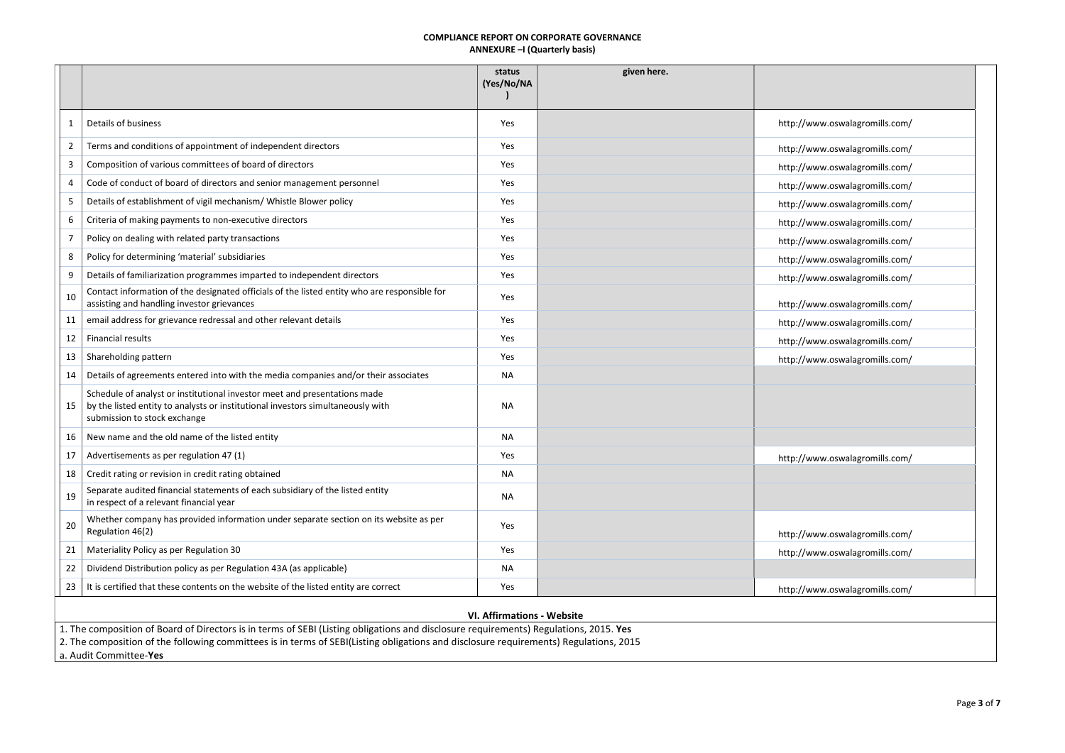|              |                                                                                                                                                                                                                                                                                | status<br>(Yes/No/NA              | given here. |                                |
|--------------|--------------------------------------------------------------------------------------------------------------------------------------------------------------------------------------------------------------------------------------------------------------------------------|-----------------------------------|-------------|--------------------------------|
|              |                                                                                                                                                                                                                                                                                |                                   |             |                                |
|              | Details of business                                                                                                                                                                                                                                                            | Yes                               |             | http://www.oswalagromills.com/ |
| $\mathbf{2}$ | Terms and conditions of appointment of independent directors                                                                                                                                                                                                                   | Yes                               |             | http://www.oswalagromills.com/ |
| 3            | Composition of various committees of board of directors                                                                                                                                                                                                                        | Yes                               |             | http://www.oswalagromills.com/ |
| 4            | Code of conduct of board of directors and senior management personnel                                                                                                                                                                                                          | Yes                               |             | http://www.oswalagromills.com/ |
| 5            | Details of establishment of vigil mechanism/ Whistle Blower policy                                                                                                                                                                                                             | Yes                               |             | http://www.oswalagromills.com/ |
| 6            | Criteria of making payments to non-executive directors                                                                                                                                                                                                                         | Yes                               |             | http://www.oswalagromills.com/ |
|              | Policy on dealing with related party transactions                                                                                                                                                                                                                              | Yes                               |             | http://www.oswalagromills.com/ |
| 8            | Policy for determining 'material' subsidiaries                                                                                                                                                                                                                                 | Yes                               |             | http://www.oswalagromills.com/ |
| 9            | Details of familiarization programmes imparted to independent directors                                                                                                                                                                                                        | Yes                               |             | http://www.oswalagromills.com/ |
| 10           | Contact information of the designated officials of the listed entity who are responsible for<br>assisting and handling investor grievances                                                                                                                                     | Yes                               |             | http://www.oswalagromills.com/ |
| 11           | email address for grievance redressal and other relevant details                                                                                                                                                                                                               | Yes                               |             | http://www.oswalagromills.com/ |
| 12           | <b>Financial results</b>                                                                                                                                                                                                                                                       | Yes                               |             | http://www.oswalagromills.com/ |
| 13           | Shareholding pattern                                                                                                                                                                                                                                                           | Yes                               |             | http://www.oswalagromills.com/ |
|              | Details of agreements entered into with the media companies and/or their associates                                                                                                                                                                                            | <b>NA</b>                         |             |                                |
|              | Schedule of analyst or institutional investor meet and presentations made<br>15   by the listed entity to analysts or institutional investors simultaneously with<br>submission to stock exchange                                                                              | <b>NA</b>                         |             |                                |
| 16           | New name and the old name of the listed entity                                                                                                                                                                                                                                 | <b>NA</b>                         |             |                                |
| 17           | Advertisements as per regulation 47 (1)                                                                                                                                                                                                                                        | Yes                               |             | http://www.oswalagromills.com/ |
| 18           | Credit rating or revision in credit rating obtained                                                                                                                                                                                                                            | <b>NA</b>                         |             |                                |
| 19           | Separate audited financial statements of each subsidiary of the listed entity<br>in respect of a relevant financial year                                                                                                                                                       | <b>NA</b>                         |             |                                |
| 20           | Whether company has provided information under separate section on its website as per<br>Regulation 46(2)                                                                                                                                                                      | Yes                               |             | http://www.oswalagromills.com/ |
| 21           | Materiality Policy as per Regulation 30                                                                                                                                                                                                                                        | Yes                               |             | http://www.oswalagromills.com/ |
| 22           | Dividend Distribution policy as per Regulation 43A (as applicable)                                                                                                                                                                                                             | <b>NA</b>                         |             |                                |
| 23           | It is certified that these contents on the website of the listed entity are correct                                                                                                                                                                                            | Yes                               |             | http://www.oswalagromills.com/ |
|              |                                                                                                                                                                                                                                                                                | <b>VI. Affirmations - Website</b> |             |                                |
|              | 1. The composition of Board of Directors is in terms of SEBI (Listing obligations and disclosure requirements) Regulations, 2015. Yes<br>2. The composition of the following committees is in terms of SEBI(Listing obligations and disclosure requirements) Regulations, 2015 |                                   |             |                                |
|              | a. Audit Committee-Yes                                                                                                                                                                                                                                                         |                                   |             |                                |

a. Audit Committee-Yes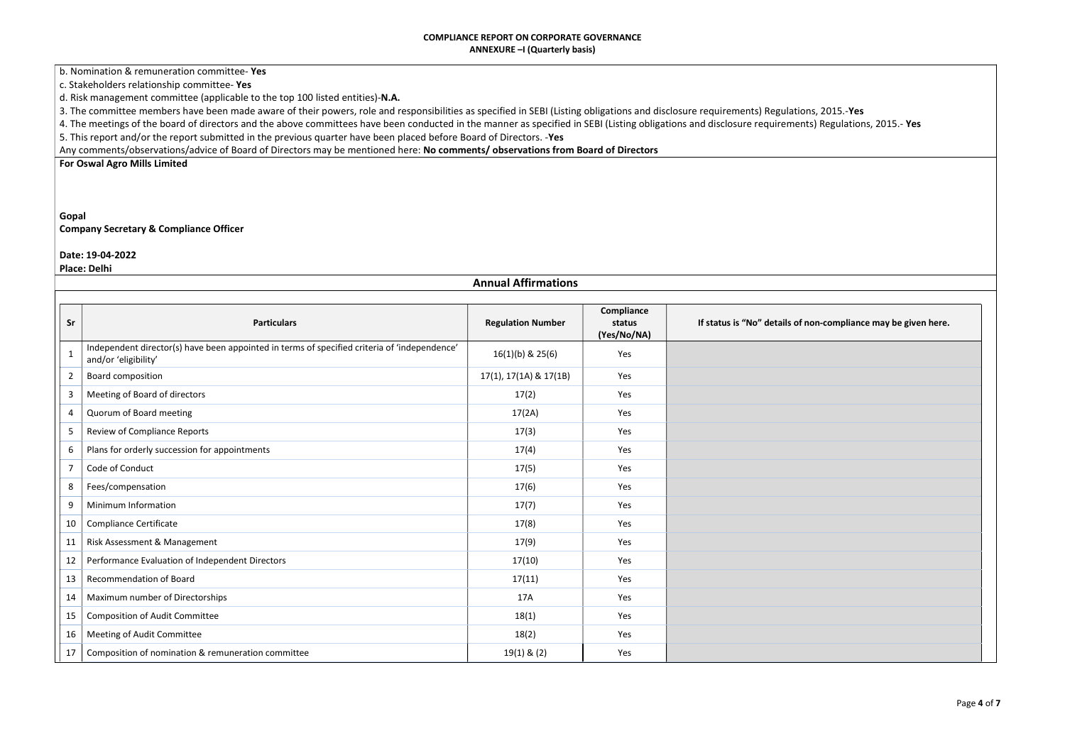b. Nomination & remuneration committee- Yes

c. Stakeholders relationship committee- Yes

d. Risk management committee (applicable to the top 100 listed entities)-N.A.

3. The committee members have been made aware of their powers, role and responsibilities as specified in SEBI (Listing obligations and disclosure requirements) Regulation

4. The meetings of the board of directors and the above committees have been conducted in the manner as specified in SEBI (Listing obligations and disclosure requiremen 5. This report and/or the report submitted in the previous quarter have been placed before Board of Directors. -Yes

Any comments/observations/advice of Board of Directors may be mentioned here: No comments/ observations from Board of Directors

For Oswal Agro Mills Limited

# Gopal Company Secretary & Compliance Officer

#### Date: 19-04-2022

Place: Delhi

| If status is "No" details of non-compliance may be given here. |  |  |
|----------------------------------------------------------------|--|--|
|                                                                |  |  |
|                                                                |  |  |
|                                                                |  |  |
|                                                                |  |  |
|                                                                |  |  |
|                                                                |  |  |
|                                                                |  |  |
|                                                                |  |  |
|                                                                |  |  |
|                                                                |  |  |
|                                                                |  |  |
|                                                                |  |  |
|                                                                |  |  |
|                                                                |  |  |
|                                                                |  |  |
|                                                                |  |  |
|                                                                |  |  |
|                                                                |  |  |
|                                                                |  |  |
|                                                                |  |  |

|              | <b>Annual Affirmations</b>                                                                                           |                          |                                     |                              |  |  |
|--------------|----------------------------------------------------------------------------------------------------------------------|--------------------------|-------------------------------------|------------------------------|--|--|
| Sr           | <b>Particulars</b>                                                                                                   | <b>Regulation Number</b> | Compliance<br>status<br>(Yes/No/NA) | If status is "No" details of |  |  |
| $\mathbf{1}$ | Independent director(s) have been appointed in terms of specified criteria of 'independence'<br>and/or 'eligibility' | $16(1)(b)$ & $25(6)$     | Yes                                 |                              |  |  |
| 2            | Board composition                                                                                                    | 17(1), 17(1A) & 17(1B)   | <b>Yes</b>                          |                              |  |  |
| 3            | Meeting of Board of directors                                                                                        | 17(2)                    | Yes                                 |                              |  |  |
| 4            | Quorum of Board meeting                                                                                              | 17(2A)                   | Yes                                 |                              |  |  |
| 5            | <b>Review of Compliance Reports</b>                                                                                  | 17(3)                    | Yes                                 |                              |  |  |
| 6            | Plans for orderly succession for appointments                                                                        | 17(4)                    | Yes                                 |                              |  |  |
| 7            | Code of Conduct                                                                                                      | 17(5)                    | Yes                                 |                              |  |  |
| 8            | Fees/compensation                                                                                                    | 17(6)                    | Yes                                 |                              |  |  |
| 9            | Minimum Information                                                                                                  | 17(7)                    | Yes                                 |                              |  |  |
| 10           | <b>Compliance Certificate</b>                                                                                        | 17(8)                    | Yes                                 |                              |  |  |
| 11           | Risk Assessment & Management                                                                                         | 17(9)                    | Yes                                 |                              |  |  |
| 12           | Performance Evaluation of Independent Directors                                                                      | 17(10)                   | Yes                                 |                              |  |  |
| 13           | <b>Recommendation of Board</b>                                                                                       | 17(11)                   | Yes                                 |                              |  |  |
| 14           | Maximum number of Directorships                                                                                      | 17A                      | Yes                                 |                              |  |  |
| 15           | <b>Composition of Audit Committee</b>                                                                                | 18(1)                    | Yes                                 |                              |  |  |
| 16           | Meeting of Audit Committee                                                                                           | 18(2)                    | Yes                                 |                              |  |  |
| 17           | Composition of nomination & remuneration committee                                                                   | $19(1)$ & $(2)$          | Yes                                 |                              |  |  |

| ns, 2015.- <b>Yes</b>        |  |
|------------------------------|--|
| its) Regulations, 2015.- Yes |  |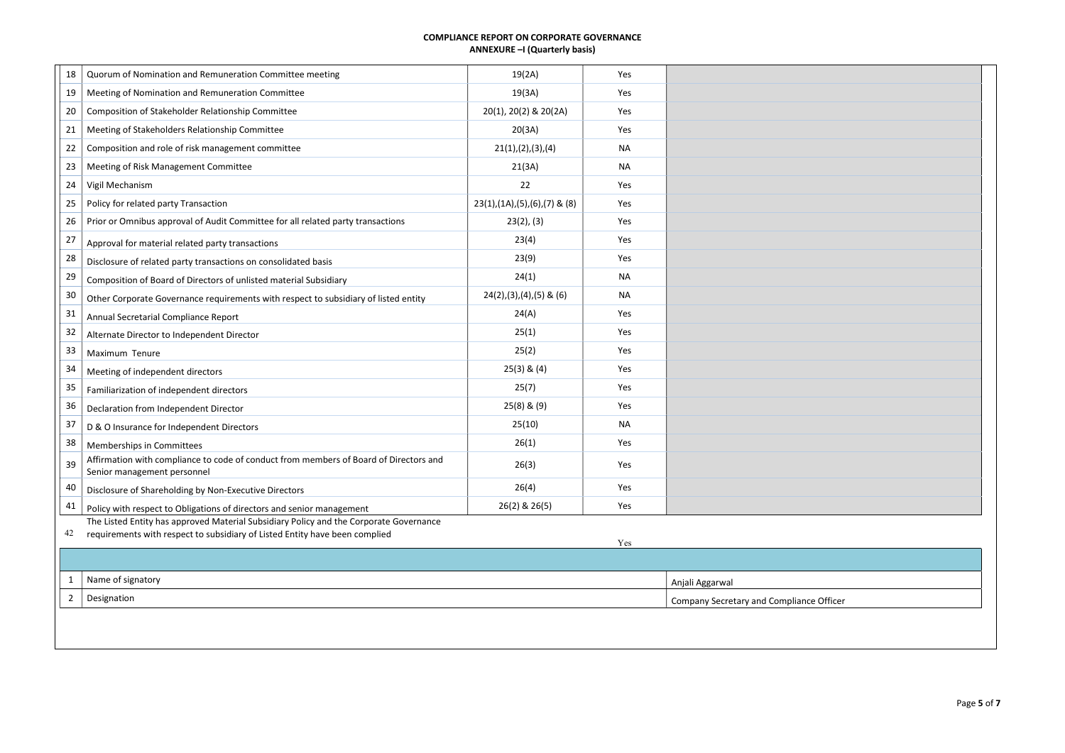| 18             | Quorum of Nomination and Remuneration Committee meeting                                                                                                               | 19(2A)                             | Yes       |                                          |
|----------------|-----------------------------------------------------------------------------------------------------------------------------------------------------------------------|------------------------------------|-----------|------------------------------------------|
| 19             | Meeting of Nomination and Remuneration Committee                                                                                                                      | 19(3A)                             | Yes       |                                          |
| 20             | Composition of Stakeholder Relationship Committee                                                                                                                     | 20(1), 20(2) & 20(2A)              | Yes       |                                          |
| 21             | Meeting of Stakeholders Relationship Committee                                                                                                                        | 20(3A)                             | Yes       |                                          |
| 22             | Composition and role of risk management committee                                                                                                                     | 21(1), (2), (3), (4)               | <b>NA</b> |                                          |
| 23             | Meeting of Risk Management Committee                                                                                                                                  | 21(3A)                             | <b>NA</b> |                                          |
| 24             | Vigil Mechanism                                                                                                                                                       | 22                                 | Yes       |                                          |
| 25             | Policy for related party Transaction                                                                                                                                  | $23(1), (1A), (5), (6), (7)$ & (8) | Yes       |                                          |
| 26             | Prior or Omnibus approval of Audit Committee for all related party transactions                                                                                       | 23(2), (3)                         | Yes       |                                          |
| 27             | Approval for material related party transactions                                                                                                                      | 23(4)                              | Yes       |                                          |
| 28             | Disclosure of related party transactions on consolidated basis                                                                                                        | 23(9)                              | Yes       |                                          |
| 29             | Composition of Board of Directors of unlisted material Subsidiary                                                                                                     | 24(1)                              | <b>NA</b> |                                          |
| 30             | Other Corporate Governance requirements with respect to subsidiary of listed entity                                                                                   | $24(2), (3), (4), (5)$ & $(6)$     | <b>NA</b> |                                          |
| 31             | Annual Secretarial Compliance Report                                                                                                                                  | 24(A)                              | Yes       |                                          |
| 32             | Alternate Director to Independent Director                                                                                                                            | 25(1)                              | Yes       |                                          |
| 33             | Maximum Tenure                                                                                                                                                        | 25(2)                              | Yes       |                                          |
| 34             | Meeting of independent directors                                                                                                                                      | $25(3)$ & $(4)$                    | Yes       |                                          |
| 35             | Familiarization of independent directors                                                                                                                              | 25(7)                              | Yes       |                                          |
| 36             | Declaration from Independent Director                                                                                                                                 | $25(8)$ & $(9)$                    | Yes       |                                          |
| 37             | D & O Insurance for Independent Directors                                                                                                                             | 25(10)                             | <b>NA</b> |                                          |
| 38             | Memberships in Committees                                                                                                                                             | 26(1)                              | Yes       |                                          |
| 39             | Affirmation with compliance to code of conduct from members of Board of Directors and<br>Senior management personnel                                                  | 26(3)                              | Yes       |                                          |
| 40             | Disclosure of Shareholding by Non-Executive Directors                                                                                                                 | 26(4)                              | Yes       |                                          |
| 41             | Policy with respect to Obligations of directors and senior management                                                                                                 | 26(2) & 26(5)                      | Yes       |                                          |
| 42             | The Listed Entity has approved Material Subsidiary Policy and the Corporate Governance<br>requirements with respect to subsidiary of Listed Entity have been complied |                                    | Yes       |                                          |
|                |                                                                                                                                                                       |                                    |           |                                          |
| 1              | Name of signatory                                                                                                                                                     |                                    |           | Anjali Aggarwal                          |
| $\overline{2}$ | Designation                                                                                                                                                           |                                    |           | Company Secretary and Compliance Officer |
|                |                                                                                                                                                                       |                                    |           |                                          |

| ice Officer |  |
|-------------|--|
|             |  |
|             |  |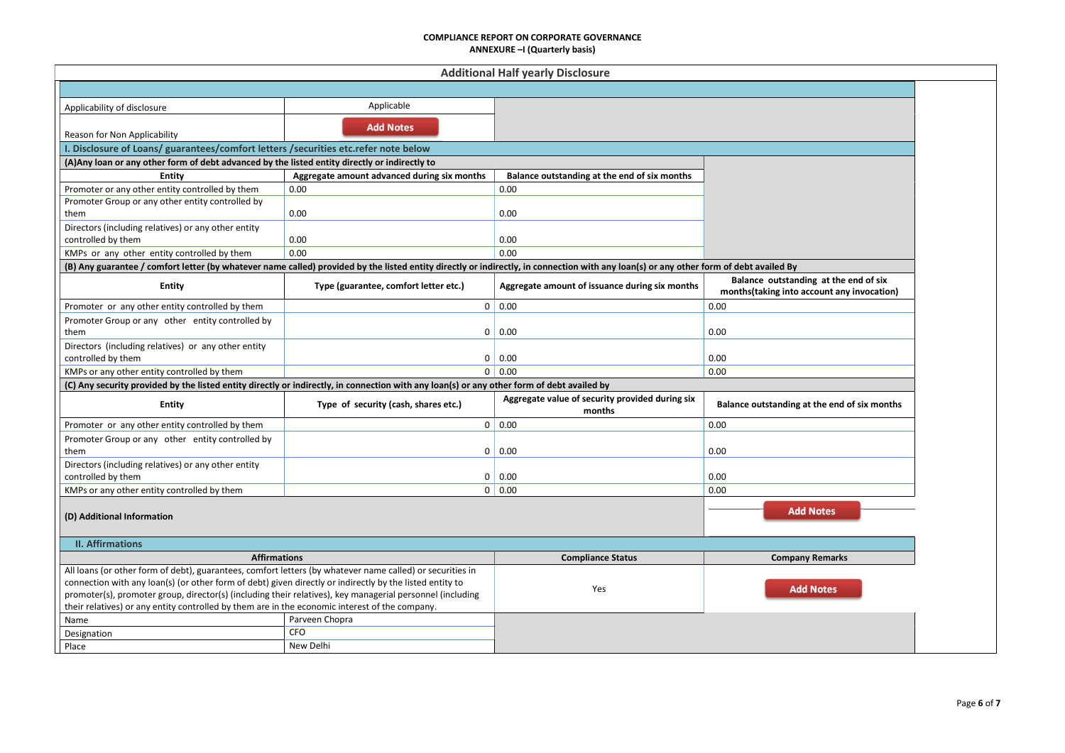|                                                                                                                                                                                        |                                             | <b>Additional Half yearly Disclosure</b>        |                                                                                      |
|----------------------------------------------------------------------------------------------------------------------------------------------------------------------------------------|---------------------------------------------|-------------------------------------------------|--------------------------------------------------------------------------------------|
|                                                                                                                                                                                        |                                             |                                                 |                                                                                      |
| Applicability of disclosure                                                                                                                                                            | Applicable                                  |                                                 |                                                                                      |
|                                                                                                                                                                                        | <b>Add Notes</b>                            |                                                 |                                                                                      |
| Reason for Non Applicability                                                                                                                                                           |                                             |                                                 |                                                                                      |
| I. Disclosure of Loans/ guarantees/comfort letters / securities etc.refer note below                                                                                                   |                                             |                                                 |                                                                                      |
| (A) Any loan or any other form of debt advanced by the listed entity directly or indirectly to                                                                                         |                                             |                                                 |                                                                                      |
| Entity                                                                                                                                                                                 | Aggregate amount advanced during six months | Balance outstanding at the end of six months    |                                                                                      |
| Promoter or any other entity controlled by them                                                                                                                                        | 0.00                                        | 0.00                                            |                                                                                      |
| Promoter Group or any other entity controlled by                                                                                                                                       |                                             |                                                 |                                                                                      |
| them                                                                                                                                                                                   | 0.00                                        | 0.00                                            |                                                                                      |
| Directors (including relatives) or any other entity                                                                                                                                    |                                             |                                                 |                                                                                      |
| controlled by them                                                                                                                                                                     | 0.00                                        | 0.00                                            |                                                                                      |
| KMPs or any other entity controlled by them                                                                                                                                            | 0.00                                        | 0.00                                            |                                                                                      |
| (B) Any guarantee / comfort letter (by whatever name called) provided by the listed entity directly or indirectly, in connection with any loan(s) or any other form of debt availed By |                                             |                                                 |                                                                                      |
| <b>Entity</b>                                                                                                                                                                          | Type (guarantee, comfort letter etc.)       | Aggregate amount of issuance during six months  | Balance outstanding at the end of six<br>months (taking into account any invocation) |
| Promoter or any other entity controlled by them                                                                                                                                        |                                             | 0   0.00                                        | 0.00                                                                                 |
| Promoter Group or any other entity controlled by                                                                                                                                       |                                             |                                                 |                                                                                      |
| them                                                                                                                                                                                   | 0                                           | 0.00                                            | 0.00                                                                                 |
| Directors (including relatives) or any other entity                                                                                                                                    |                                             |                                                 |                                                                                      |
| controlled by them                                                                                                                                                                     | $\mathbf 0$                                 | $\vert 0.00 \vert$                              | 0.00                                                                                 |
| KMPs or any other entity controlled by them                                                                                                                                            |                                             | 0   0.00                                        | 0.00                                                                                 |
| (C) Any security provided by the listed entity directly or indirectly, in connection with any loan(s) or any other form of debt availed by                                             |                                             |                                                 |                                                                                      |
| <b>Entity</b>                                                                                                                                                                          | Type of security (cash, shares etc.)        | Aggregate value of security provided during six | Balance outstanding at the end of six months                                         |
|                                                                                                                                                                                        |                                             | months                                          |                                                                                      |
| Promoter or any other entity controlled by them                                                                                                                                        |                                             | 0   0.00                                        | 0.00                                                                                 |
| Promoter Group or any other entity controlled by                                                                                                                                       |                                             |                                                 |                                                                                      |
| them                                                                                                                                                                                   | 0                                           | 0.00                                            | 0.00                                                                                 |
| Directors (including relatives) or any other entity                                                                                                                                    |                                             |                                                 |                                                                                      |
| controlled by them                                                                                                                                                                     |                                             | 0   0.00                                        | 0.00                                                                                 |
| KMPs or any other entity controlled by them                                                                                                                                            |                                             | 0   0.00                                        | 0.00                                                                                 |
| (D) Additional Information                                                                                                                                                             |                                             |                                                 | <b>Add Notes</b>                                                                     |
|                                                                                                                                                                                        |                                             |                                                 |                                                                                      |
| <b>II. Affirmations</b>                                                                                                                                                                |                                             |                                                 |                                                                                      |
| <b>Affirmations</b>                                                                                                                                                                    |                                             | <b>Compliance Status</b>                        | <b>Company Remarks</b>                                                               |
| All loans (or other form of debt), guarantees, comfort letters (by whatever name called) or securities in                                                                              |                                             |                                                 |                                                                                      |
| connection with any loan(s) (or other form of debt) given directly or indirectly by the listed entity to                                                                               |                                             | Yes                                             | <b>Add Notes</b>                                                                     |
| promoter(s), promoter group, director(s) (including their relatives), key managerial personnel (including                                                                              |                                             |                                                 |                                                                                      |
| their relatives) or any entity controlled by them are in the economic interest of the company.                                                                                         |                                             |                                                 |                                                                                      |
| Name                                                                                                                                                                                   | Parveen Chopra                              |                                                 |                                                                                      |
| Designation                                                                                                                                                                            | <b>CFO</b>                                  |                                                 |                                                                                      |
| Place                                                                                                                                                                                  | New Delhi                                   |                                                 |                                                                                      |